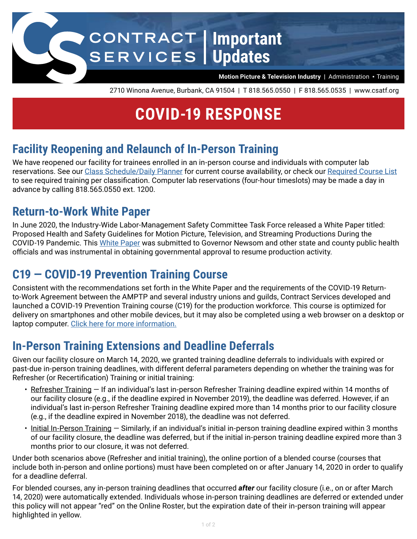

2710 Winona Avenue, Burbank, CA 91504 | T 818.565.0550 | F 818.565.0535 | www.csatf.org

# **COVID-19 RESPONSE**

#### **Facility Reopening and Relaunch of In-Person Training**

We have reopened our facility for trainees enrolled in an in-person course and individuals with computer lab reservations. See our [Class Schedule/Daily Planner](https://www.csatf.org/class_schedule-daily_planner/) for current course availability, or check our [Required Course List](https://www.csatf.org/sppguide-required_course_list/) to see required training per classification. Computer lab reservations (four-hour timeslots) may be made a day in advance by calling 818.565.0550 ext. 1200.

#### **Return-to-Work White Paper**

In June 2020, the Industry-Wide Labor-Management Safety Committee Task Force released a White Paper titled: Proposed Health and Safety Guidelines for Motion Picture, Television, and Streaming Productions During the COVID-19 Pandemic. This [White Paper](https://www.csatf.org/production-affairs-safety/covid-19-return-to-work-information/) was submitted to Governor Newsom and other state and county public health officials and was instrumental in obtaining governmental approval to resume production activity.

### **C19 — COVID-19 Prevention Training Course**

Consistent with the recommendations set forth in the White Paper and the requirements of the COVID-19 Returnto-Work Agreement between the AMPTP and several industry unions and guilds, Contract Services developed and launched a COVID-19 Prevention Training course (C19) for the production workforce. This course is optimized for delivery on smartphones and other mobile devices, but it may also be completed using a web browser on a desktop or laptop computer. [Click here for more information.](https://www.csatf.org/covid19/prevention/)

### **In-Person Training Extensions and Deadline Deferrals**

Given our facility closure on March 14, 2020, we granted training deadline deferrals to individuals with expired or past-due in-person training deadlines, with different deferral parameters depending on whether the training was for Refresher (or Recertification) Training or initial training:

- Refresher Training If an individual's last in-person Refresher Training deadline expired within 14 months of our facility closure (e.g., if the deadline expired in November 2019), the deadline was deferred. However, if an individual's last in-person Refresher Training deadline expired more than 14 months prior to our facility closure (e.g., if the deadline expired in November 2018), the deadline was not deferred.
- Initial In-Person Training Similarly, if an individual's initial in-person training deadline expired within 3 months of our facility closure, the deadline was deferred, but if the initial in-person training deadline expired more than 3 months prior to our closure, it was not deferred.

Under both scenarios above (Refresher and initial training), the online portion of a blended course (courses that include both in-person and online portions) must have been completed on or after January 14, 2020 in order to qualify for a deadline deferral.

For blended courses, any in-person training deadlines that occurred *after* our facility closure (i.e., on or after March 14, 2020) were automatically extended. Individuals whose in-person training deadlines are deferred or extended under this policy will not appear "red" on the Online Roster, but the expiration date of their in-person training will appear highlighted in yellow.